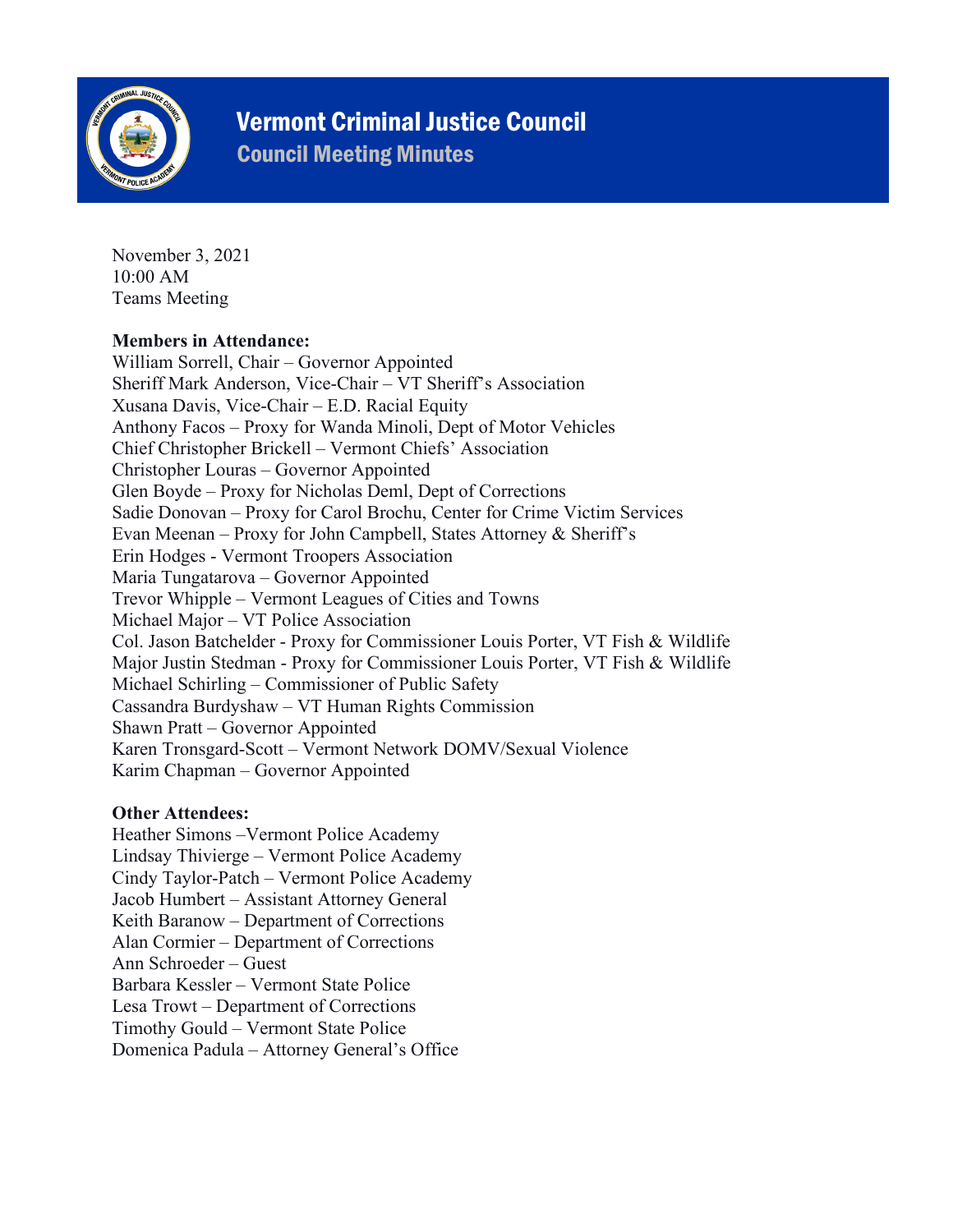

# Vermont Criminal Justice Council

Council Meeting Minutes

November 3, 2021 10:00 AM Teams Meeting

### **Members in Attendance:**

William Sorrell, Chair – Governor Appointed Sheriff Mark Anderson, Vice-Chair – VT Sheriff's Association Xusana Davis, Vice-Chair – E.D. Racial Equity Anthony Facos – Proxy for Wanda Minoli, Dept of Motor Vehicles Chief Christopher Brickell – Vermont Chiefs' Association Christopher Louras – Governor Appointed Glen Boyde – Proxy for Nicholas Deml, Dept of Corrections Sadie Donovan – Proxy for Carol Brochu, Center for Crime Victim Services Evan Meenan – Proxy for John Campbell, States Attorney & Sheriff's Erin Hodges - Vermont Troopers Association Maria Tungatarova – Governor Appointed Trevor Whipple – Vermont Leagues of Cities and Towns Michael Major – VT Police Association Col. Jason Batchelder - Proxy for Commissioner Louis Porter, VT Fish & Wildlife Major Justin Stedman - Proxy for Commissioner Louis Porter, VT Fish & Wildlife Michael Schirling – Commissioner of Public Safety Cassandra Burdyshaw – VT Human Rights Commission Shawn Pratt – Governor Appointed Karen Tronsgard-Scott – Vermont Network DOMV/Sexual Violence Karim Chapman – Governor Appointed

## **Other Attendees:**

Heather Simons –Vermont Police Academy Lindsay Thivierge – Vermont Police Academy Cindy Taylor-Patch – Vermont Police Academy Jacob Humbert – Assistant Attorney General Keith Baranow – Department of Corrections Alan Cormier – Department of Corrections Ann Schroeder – Guest Barbara Kessler – Vermont State Police Lesa Trowt – Department of Corrections Timothy Gould – Vermont State Police Domenica Padula – Attorney General's Office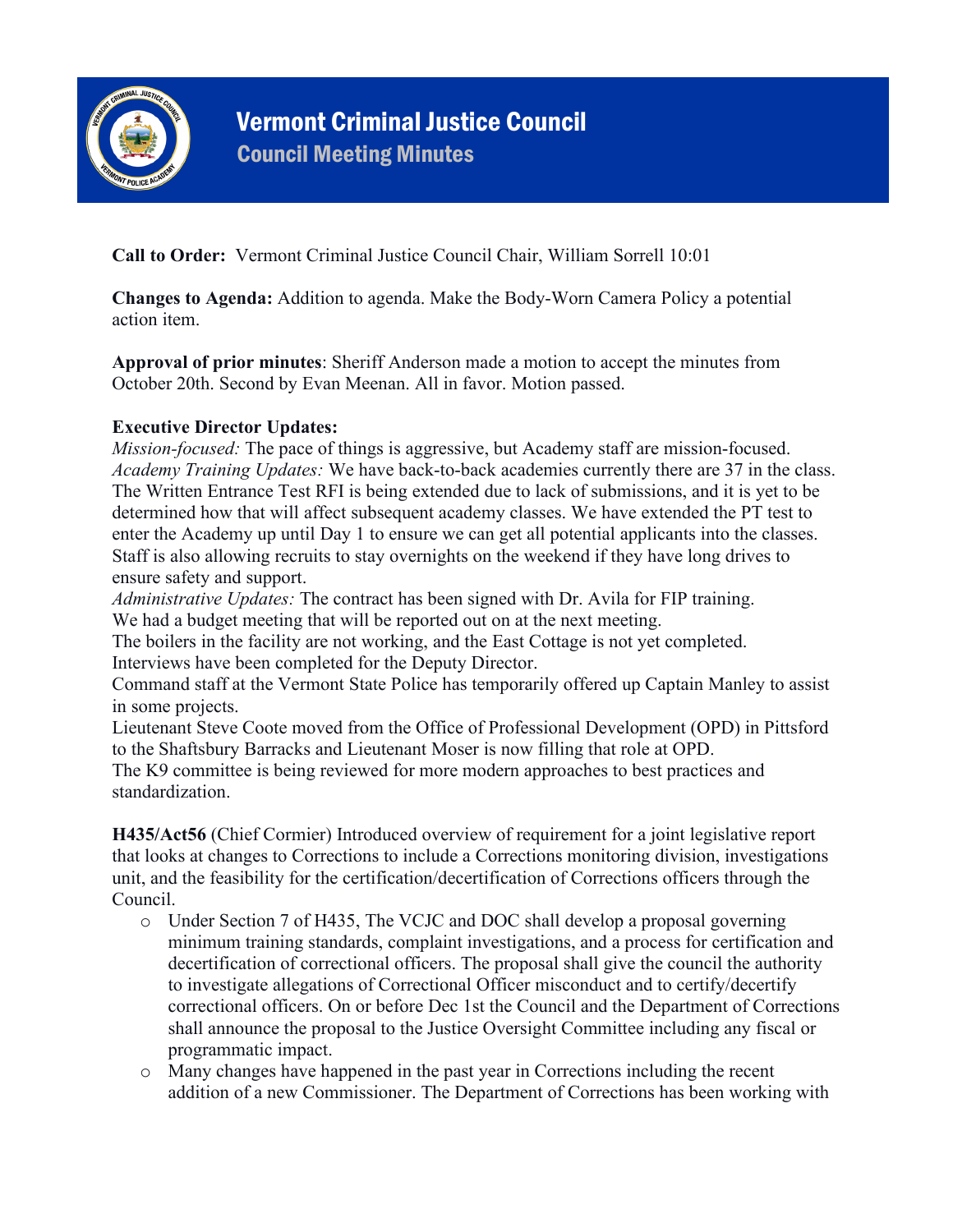

**Call to Order:** Vermont Criminal Justice Council Chair, William Sorrell 10:01

**Changes to Agenda:** Addition to agenda. Make the Body-Worn Camera Policy a potential action item.

**Approval of prior minutes**: Sheriff Anderson made a motion to accept the minutes from October 20th. Second by Evan Meenan. All in favor. Motion passed.

#### **Executive Director Updates:**

*Mission-focused:* The pace of things is aggressive, but Academy staff are mission-focused. *Academy Training Updates:* We have back-to-back academies currently there are 37 in the class. The Written Entrance Test RFI is being extended due to lack of submissions, and it is yet to be determined how that will affect subsequent academy classes. We have extended the PT test to enter the Academy up until Day 1 to ensure we can get all potential applicants into the classes. Staff is also allowing recruits to stay overnights on the weekend if they have long drives to ensure safety and support.

*Administrative Updates:* The contract has been signed with Dr. Avila for FIP training. We had a budget meeting that will be reported out on at the next meeting.

The boilers in the facility are not working, and the East Cottage is not yet completed. Interviews have been completed for the Deputy Director.

Command staff at the Vermont State Police has temporarily offered up Captain Manley to assist in some projects.

Lieutenant Steve Coote moved from the Office of Professional Development (OPD) in Pittsford to the Shaftsbury Barracks and Lieutenant Moser is now filling that role at OPD.

The K9 committee is being reviewed for more modern approaches to best practices and standardization.

**H435/Act56** (Chief Cormier) Introduced overview of requirement for a joint legislative report that looks at changes to Corrections to include a Corrections monitoring division, investigations unit, and the feasibility for the certification/decertification of Corrections officers through the Council.

- o Under Section 7 of H435, The VCJC and DOC shall develop a proposal governing minimum training standards, complaint investigations, and a process for certification and decertification of correctional officers. The proposal shall give the council the authority to investigate allegations of Correctional Officer misconduct and to certify/decertify correctional officers. On or before Dec 1st the Council and the Department of Corrections shall announce the proposal to the Justice Oversight Committee including any fiscal or programmatic impact.
- o Many changes have happened in the past year in Corrections including the recent addition of a new Commissioner. The Department of Corrections has been working with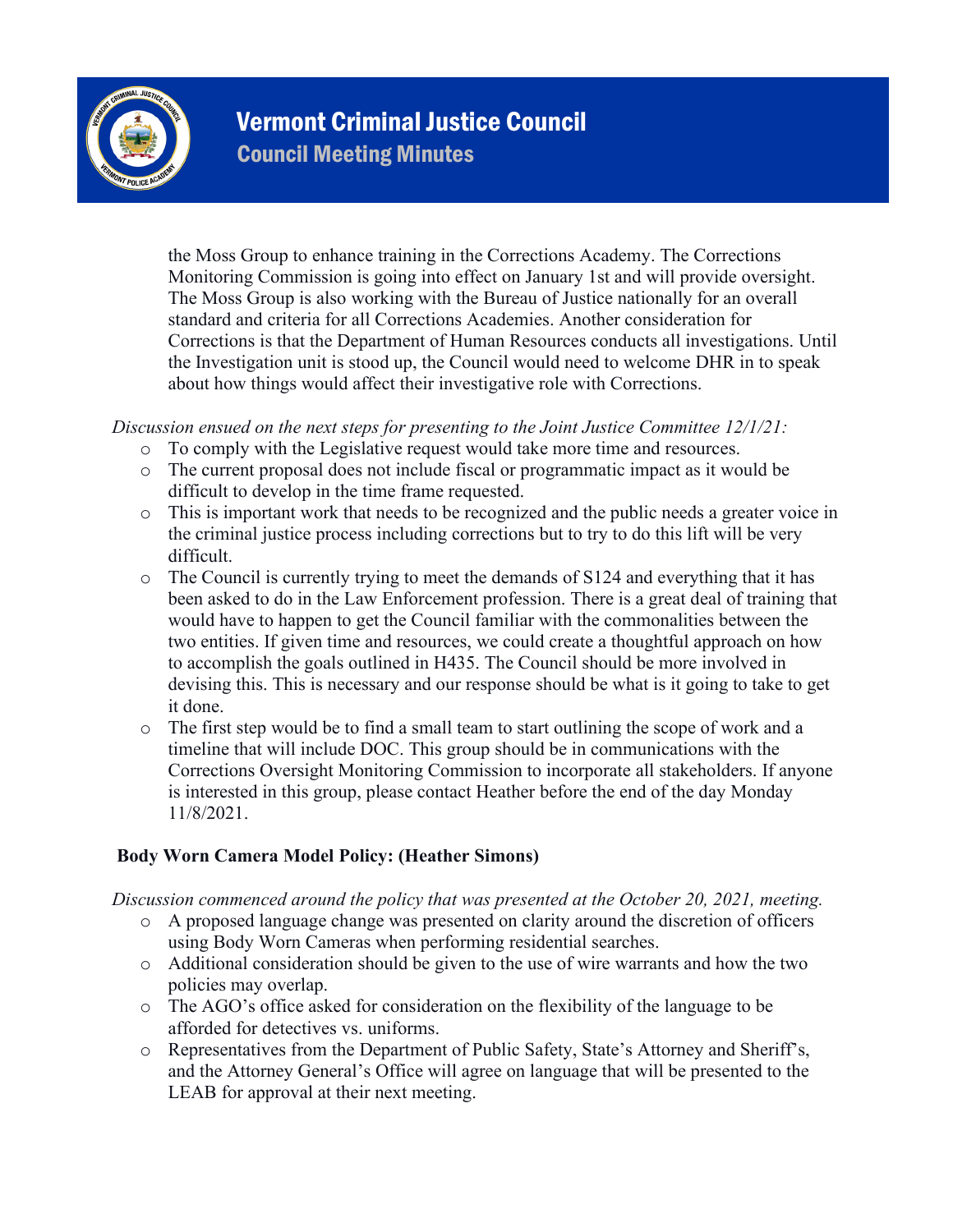

the Moss Group to enhance training in the Corrections Academy. The Corrections Monitoring Commission is going into effect on January 1st and will provide oversight. The Moss Group is also working with the Bureau of Justice nationally for an overall standard and criteria for all Corrections Academies. Another consideration for Corrections is that the Department of Human Resources conducts all investigations. Until the Investigation unit is stood up, the Council would need to welcome DHR in to speak about how things would affect their investigative role with Corrections.

*Discussion ensued on the next steps for presenting to the Joint Justice Committee 12/1/21:*

- o To comply with the Legislative request would take more time and resources.
- o The current proposal does not include fiscal or programmatic impact as it would be difficult to develop in the time frame requested.
- o This is important work that needs to be recognized and the public needs a greater voice in the criminal justice process including corrections but to try to do this lift will be very difficult.
- $\circ$  The Council is currently trying to meet the demands of S124 and everything that it has been asked to do in the Law Enforcement profession. There is a great deal of training that would have to happen to get the Council familiar with the commonalities between the two entities. If given time and resources, we could create a thoughtful approach on how to accomplish the goals outlined in H435. The Council should be more involved in devising this. This is necessary and our response should be what is it going to take to get it done.
- o The first step would be to find a small team to start outlining the scope of work and a timeline that will include DOC. This group should be in communications with the Corrections Oversight Monitoring Commission to incorporate all stakeholders. If anyone is interested in this group, please contact Heather before the end of the day Monday 11/8/2021.

## **Body Worn Camera Model Policy: (Heather Simons)**

*Discussion commenced around the policy that was presented at the October 20, 2021, meeting.* 

- o A proposed language change was presented on clarity around the discretion of officers using Body Worn Cameras when performing residential searches.
- o Additional consideration should be given to the use of wire warrants and how the two policies may overlap.
- o The AGO's office asked for consideration on the flexibility of the language to be afforded for detectives vs. uniforms.
- o Representatives from the Department of Public Safety, State's Attorney and Sheriff's, and the Attorney General's Office will agree on language that will be presented to the LEAB for approval at their next meeting.